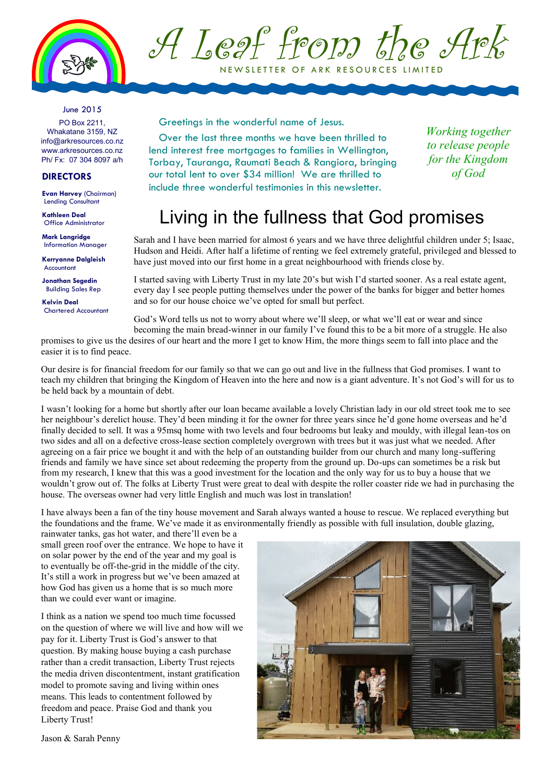

A Leaf from the Ark NEWSLETTER OF ARK RESOURCES LIMITED

### June 2015

PO Box 2211, Whakatane 3159, NZ info@arkresources.co.nz www.arkresources.co.nz Ph/ Fx: 07 304 8097 a/h

### **DIRECTORS**

**Evan Harvey** (Chairman) Lending Consultant

**Kathleen Deal** Office Administrator

**Mark Langridge Information Manager** 

**Kerryanne Dalgleish** Accountant

**Jonathan Segedin** Building Sales Rep

**Kelvin Deal** Chartered Accountant Greetings in the wonderful name of Jesus.

Over the last three months we have been thrilled to lend interest free mortgages to families in Wellington, Torbay, Tauranga, Raumati Beach & Rangiora, bringing our total lent to over \$34 million! We are thrilled to include three wonderful testimonies in this newsletter.

*Working together to release people for the Kingdom of God*

### Living in the fullness that God promises

Sarah and I have been married for almost 6 years and we have three delightful children under 5; Isaac, Hudson and Heidi. After half a lifetime of renting we feel extremely grateful, privileged and blessed to have just moved into our first home in a great neighbourhood with friends close by.

I started saving with Liberty Trust in my late 20's but wish I'd started sooner. As a real estate agent, every day I see people putting themselves under the power of the banks for bigger and better homes and so for our house choice we've opted for small but perfect.

God's Word tells us not to worry about where we'll sleep, or what we'll eat or wear and since becoming the main bread-winner in our family I've found this to be a bit more of a struggle. He also

promises to give us the desires of our heart and the more I get to know Him, the more things seem to fall into place and the easier it is to find peace.

Our desire is for financial freedom for our family so that we can go out and live in the fullness that God promises. I want to teach my children that bringing the Kingdom of Heaven into the here and now is a giant adventure. It's not God's will for us to be held back by a mountain of debt.

I wasn't looking for a home but shortly after our loan became available a lovely Christian lady in our old street took me to see her neighbour's derelict house. They'd been minding it for the owner for three years since he'd gone home overseas and he'd finally decided to sell. It was a 95msq home with two levels and four bedrooms but leaky and mouldy, with illegal lean-tos on two sides and all on a defective cross-lease section completely overgrown with trees but it was just what we needed. After agreeing on a fair price we bought it and with the help of an outstanding builder from our church and many long-suffering friends and family we have since set about redeeming the property from the ground up. Do-ups can sometimes be a risk but from my research, I knew that this was a good investment for the location and the only way for us to buy a house that we wouldn't grow out of. The folks at Liberty Trust were great to deal with despite the roller coaster ride we had in purchasing the house. The overseas owner had very little English and much was lost in translation!

I have always been a fan of the tiny house movement and Sarah always wanted a house to rescue. We replaced everything but the foundations and the frame. We've made it as environmentally friendly as possible with full insulation, double glazing,

rainwater tanks, gas hot water, and there'll even be a small green roof over the entrance. We hope to have it on solar power by the end of the year and my goal is to eventually be off-the-grid in the middle of the city. It's still a work in progress but we've been amazed at how God has given us a home that is so much more than we could ever want or imagine.

I think as a nation we spend too much time focussed on the question of where we will live and how will we pay for it. Liberty Trust is God's answer to that question. By making house buying a cash purchase rather than a credit transaction, Liberty Trust rejects the media driven discontentment, instant gratification model to promote saving and living within ones means. This leads to contentment followed by freedom and peace. Praise God and thank you Liberty Trust!